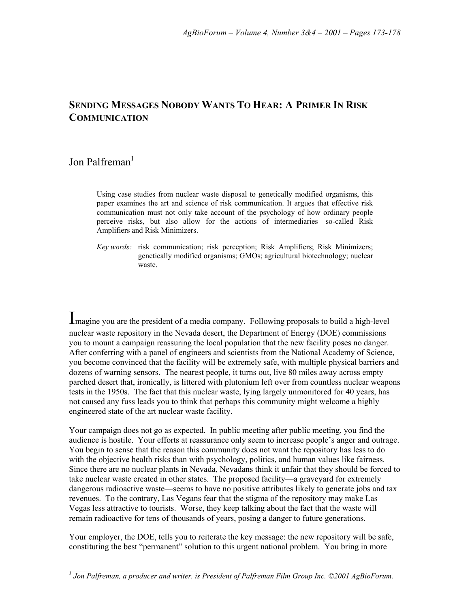# **SENDING MESSAGES NOBODY WANTS TO HEAR: A PRIMER IN RISK COMMUNICATION**

# Jon Palfreman<sup>1</sup>

Using case studies from nuclear waste disposal to genetically modified organisms, this paper examines the art and science of risk communication. It argues that effective risk communication must not only take account of the psychology of how ordinary people perceive risks, but also allow for the actions of intermediaries—so-called Risk Amplifiers and Risk Minimizers.

*Key words:* risk communication; risk perception; Risk Amplifiers; Risk Minimizers; genetically modified organisms; GMOs; agricultural biotechnology; nuclear waste.

Imagine you are the president of a media company. Following proposals to build a high-level nuclear waste repository in the Nevada desert, the Department of Energy (DOE) commissions you to mount a campaign reassuring the local population that the new facility poses no danger. After conferring with a panel of engineers and scientists from the National Academy of Science, you become convinced that the facility will be extremely safe, with multiple physical barriers and dozens of warning sensors. The nearest people, it turns out, live 80 miles away across empty parched desert that, ironically, is littered with plutonium left over from countless nuclear weapons tests in the 1950s. The fact that this nuclear waste, lying largely unmonitored for 40 years, has not caused any fuss leads you to think that perhaps this community might welcome a highly engineered state of the art nuclear waste facility.

Your campaign does not go as expected. In public meeting after public meeting, you find the audience is hostile. Your efforts at reassurance only seem to increase people's anger and outrage. You begin to sense that the reason this community does not want the repository has less to do with the objective health risks than with psychology, politics, and human values like fairness. Since there are no nuclear plants in Nevada, Nevadans think it unfair that they should be forced to take nuclear waste created in other states. The proposed facility—a graveyard for extremely dangerous radioactive waste—seems to have no positive attributes likely to generate jobs and tax revenues. To the contrary, Las Vegans fear that the stigma of the repository may make Las Vegas less attractive to tourists. Worse, they keep talking about the fact that the waste will remain radioactive for tens of thousands of years, posing a danger to future generations.

Your employer, the DOE, tells you to reiterate the key message: the new repository will be safe, constituting the best "permanent" solution to this urgent national problem. You bring in more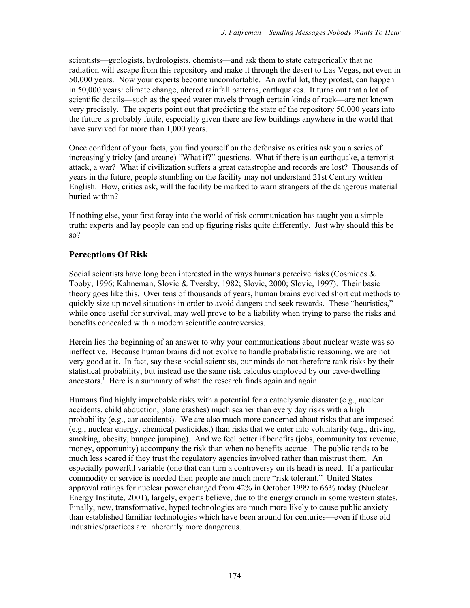scientists—geologists, hydrologists, chemists—and ask them to state categorically that no radiation will escape from this repository and make it through the desert to Las Vegas, not even in 50,000 years. Now your experts become uncomfortable. An awful lot, they protest, can happen in 50,000 years: climate change, altered rainfall patterns, earthquakes. It turns out that a lot of scientific details—such as the speed water travels through certain kinds of rock—are not known very precisely. The experts point out that predicting the state of the repository 50,000 years into the future is probably futile, especially given there are few buildings anywhere in the world that have survived for more than 1,000 years.

Once confident of your facts, you find yourself on the defensive as critics ask you a series of increasingly tricky (and arcane) "What if?" questions. What if there is an earthquake, a terrorist attack, a war? What if civilization suffers a great catastrophe and records are lost? Thousands of years in the future, people stumbling on the facility may not understand 21st Century written English. How, critics ask, will the facility be marked to warn strangers of the dangerous material buried within?

If nothing else, your first foray into the world of risk communication has taught you a simple truth: experts and lay people can end up figuring risks quite differently. Just why should this be so?

## **Perceptions Of Risk**

Social scientists have long been interested in the ways humans perceive risks (Cosmides & Tooby, 1996; Kahneman, Slovic & Tversky, 1982; Slovic, 2000; Slovic, 1997). Their basic theory goes like this. Over tens of thousands of years, human brains evolved short cut methods to quickly size up novel situations in order to avoid dangers and seek rewards. These "heuristics," while once useful for survival, may well prove to be a liability when trying to parse the risks and benefits concealed within modern scientific controversies.

Herein lies the beginning of an answer to why your communications about nuclear waste was so ineffective. Because human brains did not evolve to handle probabilistic reasoning, we are not very good at it. In fact, say these social scientists, our minds do not therefore rank risks by their statistical probability, but instead use the same risk calculus employed by our cave-dwelling ancestors.<sup>1</sup> Here is a summary of what the research finds again and again.

Humans find highly improbable risks with a potential for a cataclysmic disaster (e.g., nuclear accidents, child abduction, plane crashes) much scarier than every day risks with a high probability (e.g., car accidents). We are also much more concerned about risks that are imposed (e.g., nuclear energy, chemical pesticides,) than risks that we enter into voluntarily (e.g., driving, smoking, obesity, bungee jumping). And we feel better if benefits (jobs, community tax revenue, money, opportunity) accompany the risk than when no benefits accrue. The public tends to be much less scared if they trust the regulatory agencies involved rather than mistrust them. An especially powerful variable (one that can turn a controversy on its head) is need. If a particular commodity or service is needed then people are much more "risk tolerant." United States approval ratings for nuclear power changed from 42% in October 1999 to 66% today (Nuclear Energy Institute, 2001), largely, experts believe, due to the energy crunch in some western states. Finally, new, transformative, hyped technologies are much more likely to cause public anxiety than established familiar technologies which have been around for centuries—even if those old industries/practices are inherently more dangerous.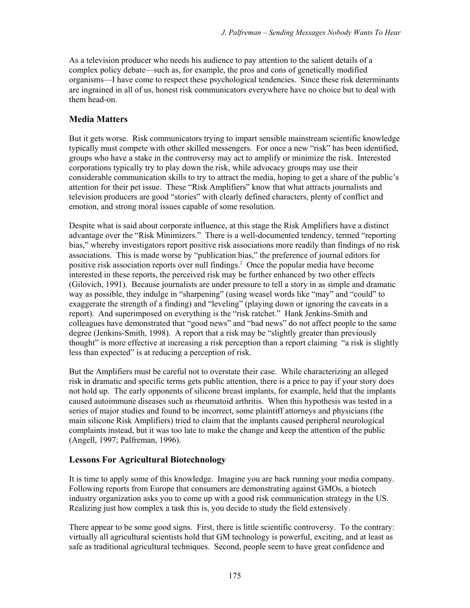As a television producer who needs his audience to pay attention to the salient details of a complex policy debate—such as, for example, the pros and cons of genetically modified organisms—I have come to respect these psychological tendencies. Since these risk determinants are ingrained in all of us, honest risk communicators everywhere have no choice but to deal with them head-on.

#### **Media Matters**

But it gets worse. Risk communicators trying to impart sensible mainstream scientific knowledge typically must compete with other skilled messengers. For once a new "risk" has been identified, groups who have a stake in the controversy may act to amplify or minimize the risk. Interested corporations typically try to play down the risk, while advocacy groups may use their considerable communication skills to try to attract the media, hoping to get a share of the public's attention for their pet issue. These "Risk Amplifiers" know that what attracts journalists and television producers are good "stories" with clearly defined characters, plenty of conflict and emotion, and strong moral issues capable of some resolution.

Despite what is said about corporate influence, at this stage the Risk Amplifiers have a distinct advantage over the "Risk Minimizers." There is a well-documented tendency, termed "reporting bias," whereby investigators report positive risk associations more readily than findings of no risk associations. This is made worse by "publication bias," the preference of journal editors for positive risk association reports over null findings.<sup>2</sup> Once the popular media have become interested in these reports, the perceived risk may be further enhanced by two other effects (Gilovich, 1991). Because journalists are under pressure to tell a story in as simple and dramatic way as possible, they indulge in "sharpening" (using weasel words like "may" and "could" to exaggerate the strength of a finding) and "leveling" (playing down or ignoring the caveats in a report). And superimposed on everything is the "risk ratchet." Hank Jenkins-Smith and colleagues have demonstrated that "good news" and "bad news" do not affect people to the same degree (Jenkins-Smith, 1998). A report that a risk may be "slightly greater than previously thought" is more effective at increasing a risk perception than a report claiming "a risk is slightly less than expected" is at reducing a perception of risk.

But the Amplifiers must be careful not to overstate their case. While characterizing an alleged risk in dramatic and specific terms gets public attention, there is a price to pay if your story does not hold up. The early opponents of silicone breast implants, for example, held that the implants caused autoimmune diseases such as rheumatoid arthritis. When this hypothesis was tested in a series of major studies and found to be incorrect, some plaintiff attorneys and physicians (the main silicone Risk Amplifiers) tried to claim that the implants caused peripheral neurological complaints instead, but it was too late to make the change and keep the attention of the public (Angell, 1997; Palfreman, 1996).

#### **Lessons For Agricultural Biotechnology**

It is time to apply some of this knowledge. Imagine you are back running your media company. Following reports from Europe that consumers are demonstrating against GMOs, a biotech industry organization asks you to come up with a good risk communication strategy in the US. Realizing just how complex a task this is, you decide to study the field extensively.

There appear to be some good signs. First, there is little scientific controversy. To the contrary: virtually all agricultural scientists hold that GM technology is powerful, exciting, and at least as safe as traditional agricultural techniques. Second, people seem to have great confidence and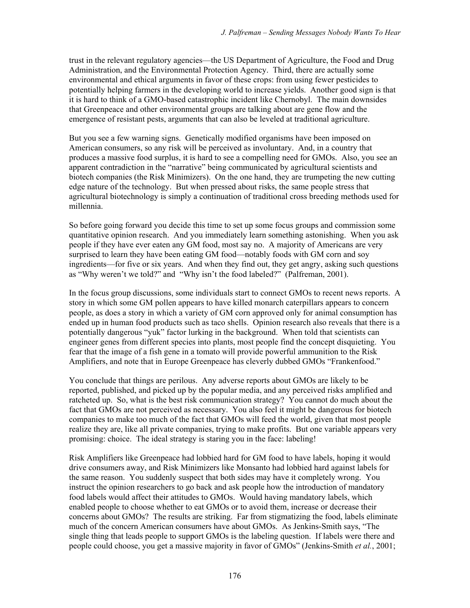trust in the relevant regulatory agencies—the US Department of Agriculture, the Food and Drug Administration, and the Environmental Protection Agency. Third, there are actually some environmental and ethical arguments in favor of these crops: from using fewer pesticides to potentially helping farmers in the developing world to increase yields. Another good sign is that it is hard to think of a GMO-based catastrophic incident like Chernobyl. The main downsides that Greenpeace and other environmental groups are talking about are gene flow and the emergence of resistant pests, arguments that can also be leveled at traditional agriculture.

But you see a few warning signs. Genetically modified organisms have been imposed on American consumers, so any risk will be perceived as involuntary. And, in a country that produces a massive food surplus, it is hard to see a compelling need for GMOs. Also, you see an apparent contradiction in the "narrative" being communicated by agricultural scientists and biotech companies (the Risk Minimizers). On the one hand, they are trumpeting the new cutting edge nature of the technology. But when pressed about risks, the same people stress that agricultural biotechnology is simply a continuation of traditional cross breeding methods used for millennia.

So before going forward you decide this time to set up some focus groups and commission some quantitative opinion research. And you immediately learn something astonishing. When you ask people if they have ever eaten any GM food, most say no. A majority of Americans are very surprised to learn they have been eating GM food—notably foods with GM corn and soy ingredients—for five or six years. And when they find out, they get angry, asking such questions as "Why weren't we told?" and "Why isn't the food labeled?" (Palfreman, 2001).

In the focus group discussions, some individuals start to connect GMOs to recent news reports. A story in which some GM pollen appears to have killed monarch caterpillars appears to concern people, as does a story in which a variety of GM corn approved only for animal consumption has ended up in human food products such as taco shells. Opinion research also reveals that there is a potentially dangerous "yuk" factor lurking in the background. When told that scientists can engineer genes from different species into plants, most people find the concept disquieting. You fear that the image of a fish gene in a tomato will provide powerful ammunition to the Risk Amplifiers, and note that in Europe Greenpeace has cleverly dubbed GMOs "Frankenfood."

You conclude that things are perilous. Any adverse reports about GMOs are likely to be reported, published, and picked up by the popular media, and any perceived risks amplified and ratcheted up. So, what is the best risk communication strategy? You cannot do much about the fact that GMOs are not perceived as necessary. You also feel it might be dangerous for biotech companies to make too much of the fact that GMOs will feed the world, given that most people realize they are, like all private companies, trying to make profits. But one variable appears very promising: choice. The ideal strategy is staring you in the face: labeling!

Risk Amplifiers like Greenpeace had lobbied hard for GM food to have labels, hoping it would drive consumers away, and Risk Minimizers like Monsanto had lobbied hard against labels for the same reason. You suddenly suspect that both sides may have it completely wrong. You instruct the opinion researchers to go back and ask people how the introduction of mandatory food labels would affect their attitudes to GMOs. Would having mandatory labels, which enabled people to choose whether to eat GMOs or to avoid them, increase or decrease their concerns about GMOs? The results are striking. Far from stigmatizing the food, labels eliminate much of the concern American consumers have about GMOs. As Jenkins-Smith says, "The single thing that leads people to support GMOs is the labeling question. If labels were there and people could choose, you get a massive majority in favor of GMOs" (Jenkins-Smith *et al.*, 2001;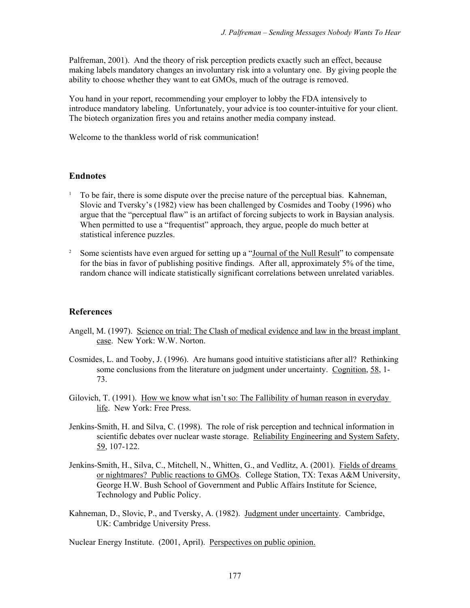Palfreman, 2001). And the theory of risk perception predicts exactly such an effect, because making labels mandatory changes an involuntary risk into a voluntary one. By giving people the ability to choose whether they want to eat GMOs, much of the outrage is removed.

You hand in your report, recommending your employer to lobby the FDA intensively to introduce mandatory labeling. Unfortunately, your advice is too counter-intuitive for your client. The biotech organization fires you and retains another media company instead.

Welcome to the thankless world of risk communication!

## **Endnotes**

- $1$  To be fair, there is some dispute over the precise nature of the perceptual bias. Kahneman, Slovic and Tverskyís (1982) view has been challenged by Cosmides and Tooby (1996) who argue that the "perceptual flaw" is an artifact of forcing subjects to work in Baysian analysis. When permitted to use a "frequentist" approach, they argue, people do much better at statistical inference puzzles.
- <sup>2</sup> Some scientists have even argued for setting up a "Journal of the Null Result" to compensate for the bias in favor of publishing positive findings. After all, approximately 5% of the time, random chance will indicate statistically significant correlations between unrelated variables.

#### **References**

- Angell, M. (1997). Science on trial: The Clash of medical evidence and law in the breast implant case. New York: W.W. Norton.
- Cosmides, L. and Tooby, J. (1996). Are humans good intuitive statisticians after all? Rethinking some conclusions from the literature on judgment under uncertainty. Cognition, 58, 1- 73.
- Gilovich, T. (1991). How we know what isn't so: The Fallibility of human reason in everyday life. New York: Free Press.
- Jenkins-Smith, H. and Silva, C. (1998). The role of risk perception and technical information in scientific debates over nuclear waste storage. Reliability Engineering and System Safety, 59, 107-122.
- Jenkins-Smith, H., Silva, C., Mitchell, N., Whitten, G., and Vedlitz, A. (2001). Fields of dreams or nightmares? Public reactions to GMOs. College Station, TX: Texas A&M University, George H.W. Bush School of Government and Public Affairs Institute for Science, Technology and Public Policy.
- Kahneman, D., Slovic, P., and Tversky, A. (1982). Judgment under uncertainty. Cambridge, UK: Cambridge University Press.

Nuclear Energy Institute. (2001, April). Perspectives on public opinion.